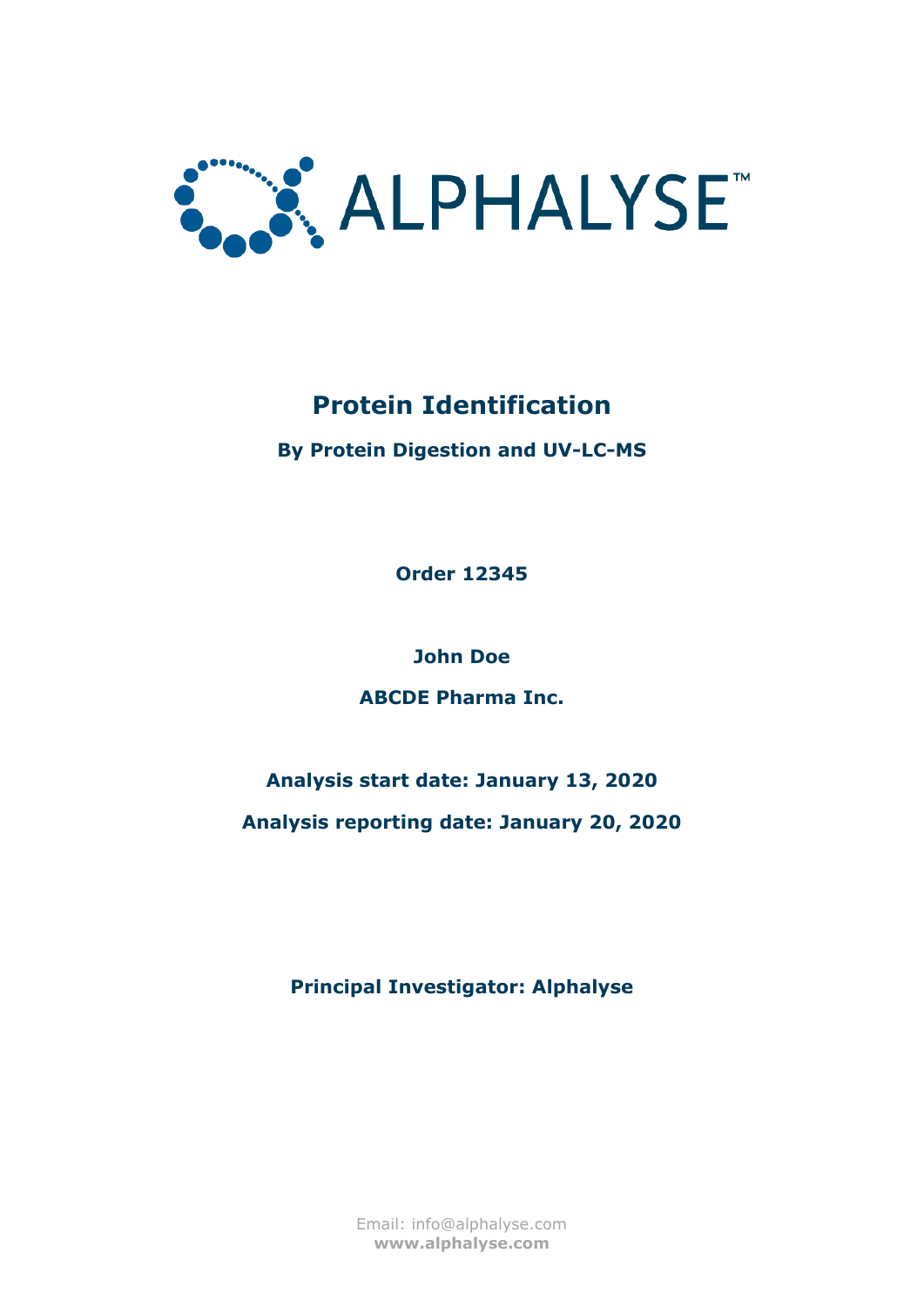

**By Protein Digestion and UV-LC-MS**

**Order 12345**

**John Doe**

**ABCDE Pharma Inc.**

## **Analysis start date: January 13, 2020 Analysis reporting date: January 20, 2020**

**Principal Investigator: Alphalyse**

Email: info@alphalyse.com **www.alphalyse.com**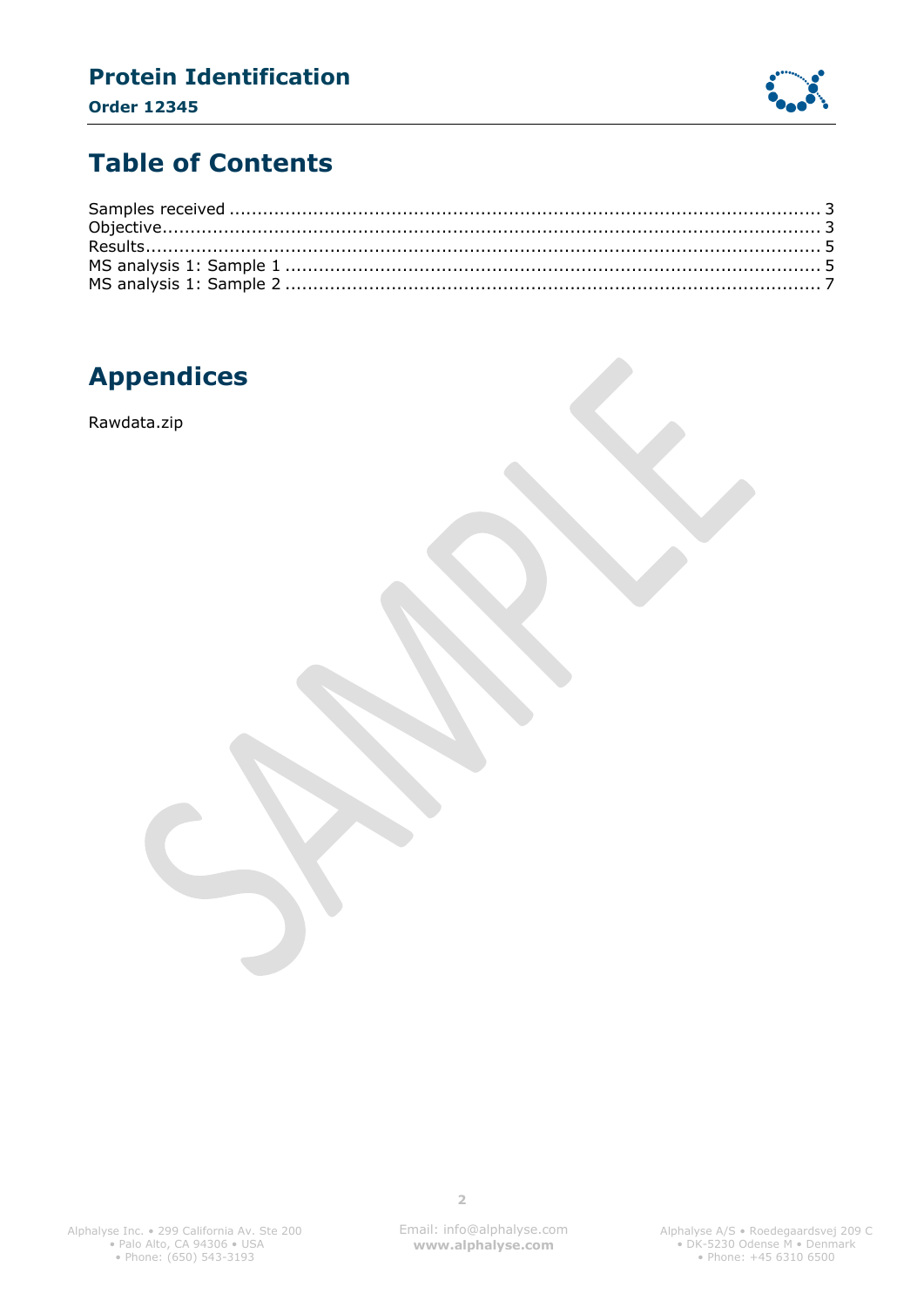### **Protein Identification Order 12345**



## **Table of Contents**

## **Appendices**

Rawdata.zip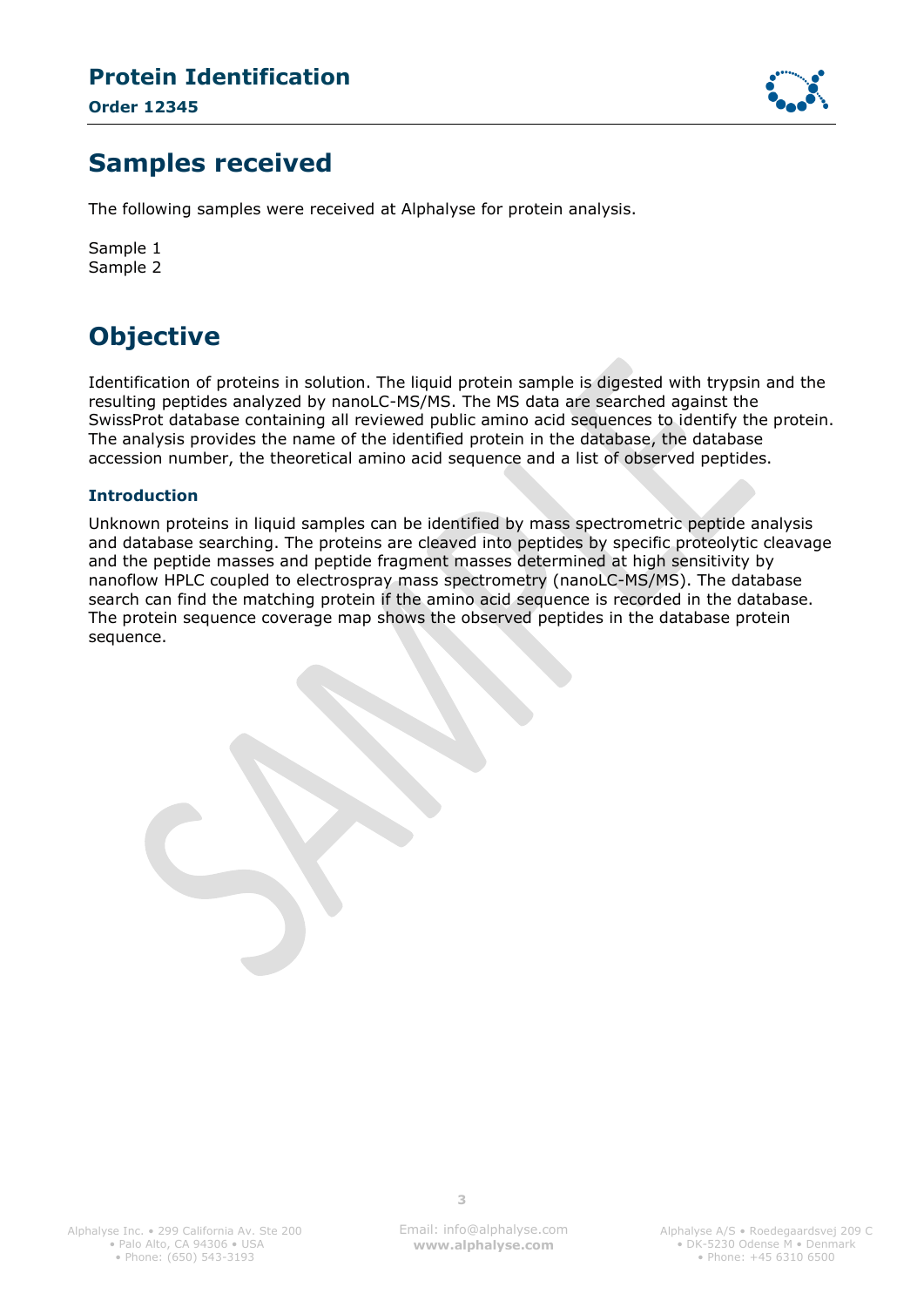**Order 12345**



### <span id="page-2-0"></span>**Samples received**

The following samples were received at Alphalyse for protein analysis.

Sample 1 Sample 2

## <span id="page-2-1"></span>**Objective**

Identification of proteins in solution. The liquid protein sample is digested with trypsin and the resulting peptides analyzed by nanoLC-MS/MS. The MS data are searched against the SwissProt database containing all reviewed public amino acid sequences to identify the protein. The analysis provides the name of the identified protein in the database, the database accession number, the theoretical amino acid sequence and a list of observed peptides.

#### **Introduction**

Unknown proteins in liquid samples can be identified by mass spectrometric peptide analysis and database searching. The proteins are cleaved into peptides by specific proteolytic cleavage and the peptide masses and peptide fragment masses determined at high sensitivity by nanoflow HPLC coupled to electrospray mass spectrometry (nanoLC-MS/MS). The database search can find the matching protein if the amino acid sequence is recorded in the database. The protein sequence coverage map shows the observed peptides in the database protein sequence.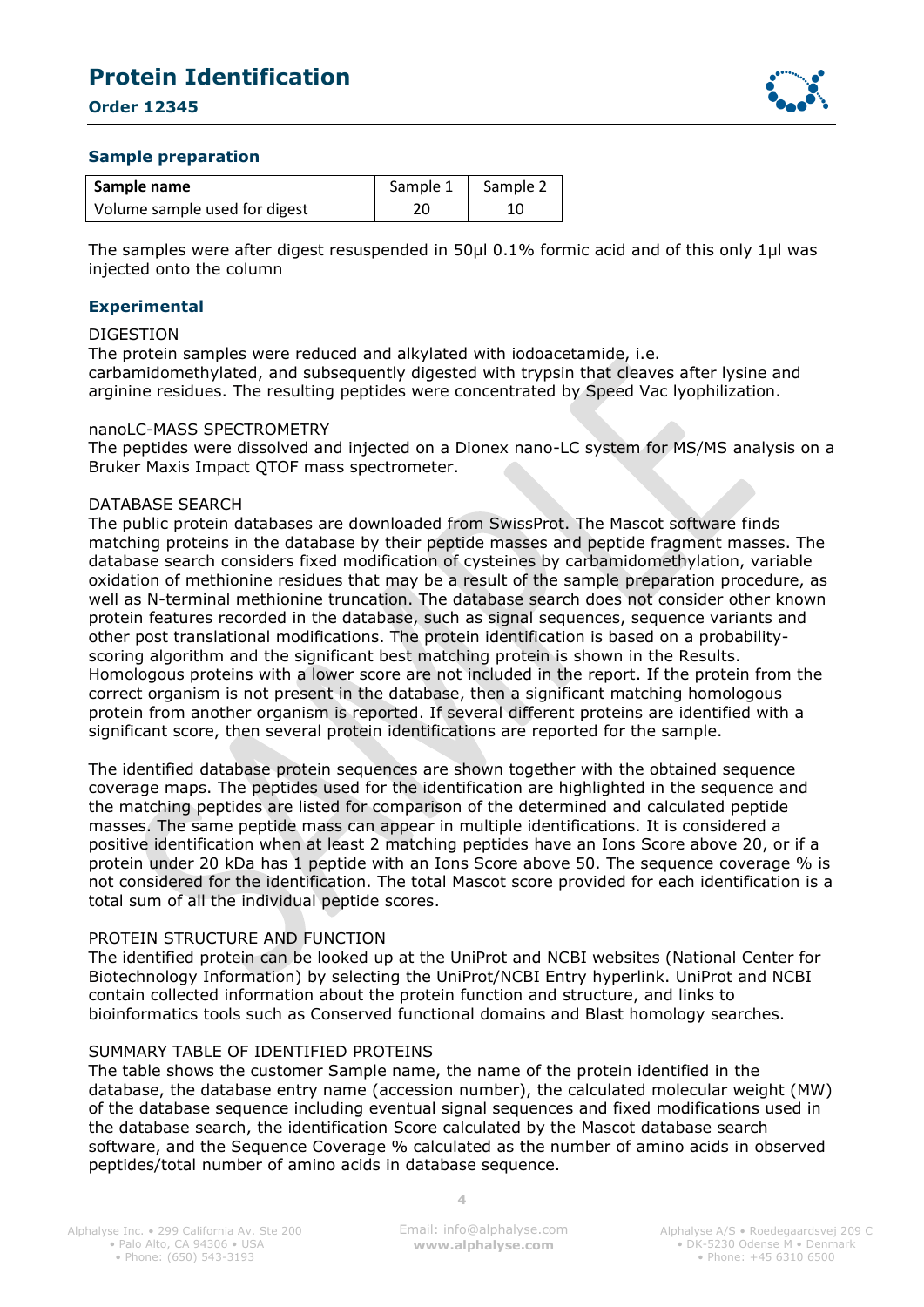**Order 12345**



#### **Sample preparation**

| Sample name                   | Sample 1 | Sample 2 |
|-------------------------------|----------|----------|
| Volume sample used for digest | 20       |          |

The samples were after digest resuspended in 50µl 0.1% formic acid and of this only 1µl was injected onto the column

#### **Experimental**

#### DIGESTION

The protein samples were reduced and alkylated with iodoacetamide, i.e. carbamidomethylated, and subsequently digested with trypsin that cleaves after lysine and arginine residues. The resulting peptides were concentrated by Speed Vac lyophilization.

#### nanoLC-MASS SPECTROMETRY

The peptides were dissolved and injected on a Dionex nano-LC system for MS/MS analysis on a Bruker Maxis Impact QTOF mass spectrometer.

#### DATABASE SEARCH

The public protein databases are downloaded from SwissProt. The Mascot software finds matching proteins in the database by their peptide masses and peptide fragment masses. The database search considers fixed modification of cysteines by carbamidomethylation, variable oxidation of methionine residues that may be a result of the sample preparation procedure, as well as N-terminal methionine truncation. The database search does not consider other known protein features recorded in the database, such as signal sequences, sequence variants and other post translational modifications. The protein identification is based on a probabilityscoring algorithm and the significant best matching protein is shown in the Results. Homologous proteins with a lower score are not included in the report. If the protein from the correct organism is not present in the database, then a significant matching homologous protein from another organism is reported. If several different proteins are identified with a significant score, then several protein identifications are reported for the sample.

The identified database protein sequences are shown together with the obtained sequence coverage maps. The peptides used for the identification are highlighted in the sequence and the matching peptides are listed for comparison of the determined and calculated peptide masses. The same peptide mass can appear in multiple identifications. It is considered a positive identification when at least 2 matching peptides have an Ions Score above 20, or if a protein under 20 kDa has 1 peptide with an Ions Score above 50. The sequence coverage % is not considered for the identification. The total Mascot score provided for each identification is a total sum of all the individual peptide scores.

#### PROTEIN STRUCTURE AND FUNCTION

The identified protein can be looked up at the UniProt and NCBI websites (National Center for Biotechnology Information) by selecting the UniProt/NCBI Entry hyperlink. UniProt and NCBI contain collected information about the protein function and structure, and links to bioinformatics tools such as Conserved functional domains and Blast homology searches.

#### SUMMARY TABLE OF IDENTIFIED PROTEINS

The table shows the customer Sample name, the name of the protein identified in the database, the database entry name (accession number), the calculated molecular weight (MW) of the database sequence including eventual signal sequences and fixed modifications used in the database search, the identification Score calculated by the Mascot database search software, and the Sequence Coverage % calculated as the number of amino acids in observed peptides/total number of amino acids in database sequence.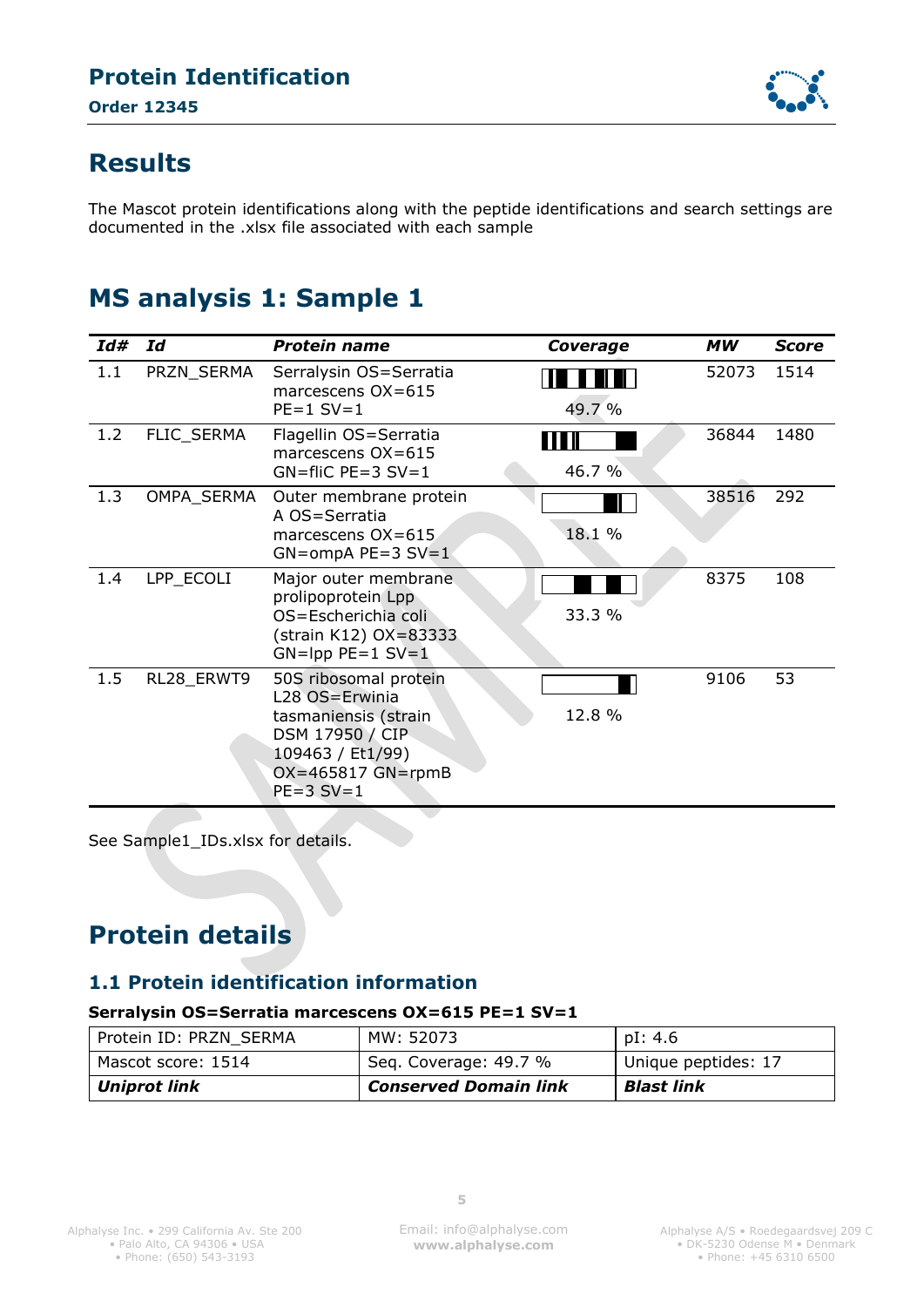

### <span id="page-4-0"></span>**Results**

The Mascot protein identifications along with the peptide identifications and search settings are documented in the .xlsx file associated with each sample

## <span id="page-4-1"></span>**MS analysis 1: Sample 1**

| Id# | Id         | <b>Protein name</b>                                                                                                                          | Coverage         | МW    | Score |
|-----|------------|----------------------------------------------------------------------------------------------------------------------------------------------|------------------|-------|-------|
| 1.1 | PRZN_SERMA | Serralysin OS=Serratia<br>marcescens $OX=615$<br>$PE=1$ SV=1                                                                                 | 49.7 %           | 52073 | 1514  |
| 1.2 | FLIC_SERMA | Flagellin OS=Serratia<br>marcescens OX=615<br>$GN = filC$ PE=3 SV=1                                                                          | 111 II<br>46.7 % | 36844 | 1480  |
| 1.3 | OMPA_SERMA | Outer membrane protein<br>A OS=Serratia<br>marcescens $OX=615$<br>$GN=ompA$ PE=3 SV=1                                                        | 18.1 %           | 38516 | 292   |
| 1.4 | LPP ECOLI  | Major outer membrane<br>prolipoprotein Lpp<br>OS=Escherichia coli<br>(strain K12) OX=83333<br>$GN =$ lpp $PE = 1$ $SV = 1$                   | 33.3 %           | 8375  | 108   |
| 1.5 | RL28_ERWT9 | 50S ribosomal protein<br>L28 OS=Erwinia<br>tasmaniensis (strain<br>DSM 17950 / CIP<br>109463 / Et1/99)<br>$OX=465817$ GN=rpmB<br>$PE=3$ SV=1 | 12.8 %           | 9106  | 53    |

See Sample1\_IDs.xlsx for details.

## **Protein details**

### **1.1 Protein identification information**

#### **Serralysin OS=Serratia marcescens OX=615 PE=1 SV=1**

| Uniprot link           | <b>Conserved Domain link</b> | <b>Blast link</b>   |
|------------------------|------------------------------|---------------------|
| Mascot score: 1514     | Seq. Coverage: 49.7 %        | Unique peptides: 17 |
| Protein ID: PRZN SERMA | MW: 52073                    | pI: 4.6             |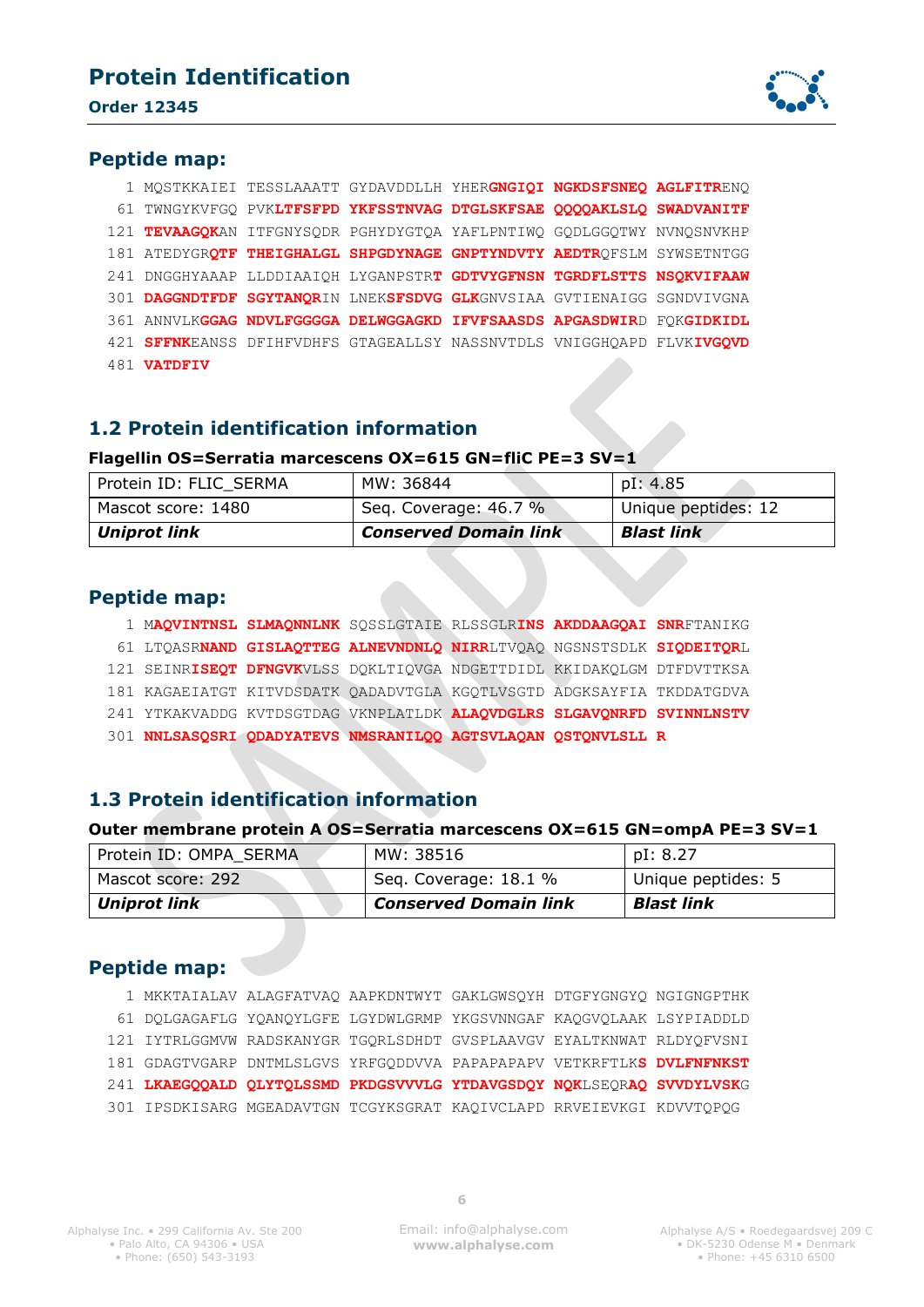

#### **Peptide map:**

|  |                    | 1 MOSTKKAIEI TESSLAAATT GYDAVDDLLH YHERGNGIOI NGKDSFSNEO AGLFITRENO   |  |  |
|--|--------------------|-----------------------------------------------------------------------|--|--|
|  |                    | 61 TWNGYKVFGO PVKLTFSFPD YKFSSTNVAG DTGLSKFSAE OOOOAKLSLO SWADVANITF  |  |  |
|  |                    | 121 TEVAAGOKAN ITFGNYSODR PGHYDYGTOA YAFLPNTIWO GODLGGOTWY NVNOSNVKHP |  |  |
|  |                    | 181 ATEDYGROTF THEIGHALGL SHPGDYNAGE GNPTYNDVTY AEDTROFSLM SYWSETNTGG |  |  |
|  |                    | 241 DNGGHYAAAP LLDDIAAIQH LYGANPSTRT GDTVYGFNSN TGRDFLSTTS NSQKVIFAAW |  |  |
|  |                    | 301 DAGGNDTFDF SGYTANORIN LNEKSFSDVG GLKGNVSIAA GVTIENAIGG SGNDVIVGNA |  |  |
|  |                    | 361 ANNVLKGGAG NDVLFGGGGA DELWGGAGKD IFVFSAASDS APGASDWIRD FOKGIDKIDL |  |  |
|  |                    | 421 SFFNKEANSS DFIHFVDHFS GTAGEALLSY NASSNVTDLS VNIGGHOAPD FLVKIVGOVD |  |  |
|  | 481 <b>VATDFIV</b> |                                                                       |  |  |

#### **1.2 Protein identification information**

#### **Flagellin OS=Serratia marcescens OX=615 GN=fliC PE=3 SV=1**

| Protein ID: FLIC SERMA | MW: 36844                    | pI: 4.85            |
|------------------------|------------------------------|---------------------|
| Mascot score: 1480     | Seg. Coverage: 46.7 %        | Unique peptides: 12 |
| Uniprot link           | <b>Conserved Domain link</b> | Blast link          |

#### **Peptide map:**

- 1 M**AQVINTNSL SLMAQNNLNK** SQSSLGTAIE RLSSGLR**INS AKDDAAGQAI SNR**FTANIKG
- 61 LTQASR**NAND GISLAQTTEG ALNEVNDNLQ NIRR**LTVQAQ NGSNSTSDLK **SIQDEITQR**L
- 121 SEINR**ISEQT DFNGVK**VLSS DQKLTIQVGA NDGETTDIDL KKIDAKQLGM DTFDVTTKSA
- 181 KAGAEIATGT KITVDSDATK QADADVTGLA KGQTLVSGTD ADGKSAYFIA TKDDATGDVA
- 241 YTKAKVADDG KVTDSGTDAG VKNPLATLDK **ALAQVDGLRS SLGAVQNRFD SVINNLNSTV**
- 301 **NNLSASQSRI QDADYATEVS NMSRANILQQ AGTSVLAQAN QSTQNVLSLL R**

#### **1.3 Protein identification information**

#### **Outer membrane protein A OS=Serratia marcescens OX=615 GN=ompA PE=3 SV=1**

| Protein ID: OMPA SERMA | MW: 38516                    | pI: 8.27           |
|------------------------|------------------------------|--------------------|
| Mascot score: 292      | Seq. Coverage: 18.1 %        | Unique peptides: 5 |
| <b>Uniprot link</b>    | <b>Conserved Domain link</b> | <b>Blast link</b>  |

#### **Peptide map:**

|  |  | 1 MKKTAIALAV ALAGFATVAQ AAPKDNTWYT GAKLGWSQYH DTGFYGNGYQ NGIGNGPTHK   |  |
|--|--|-----------------------------------------------------------------------|--|
|  |  | 61 DOLGAGAFLG YOANQYLGFE LGYDWLGRMP YKGSVNNGAF KAQGVQLAAK LSYPIADDLD  |  |
|  |  | 121 IYTRLGGMVW RADSKANYGR TGORLSDHDT GVSPLAAVGV EYALTKNWAT RLDYOFVSNI |  |
|  |  | 181 GDAGTVGARP DNTMLSLGVS YRFGODDVVA PAPAPAPAPV VETKRFTLKS DVLFNFNKST |  |
|  |  | 241 LKAEGOOALD OLYTOLSSMD PKDGSVVVLG YTDAVGSDOY NOKLSEORAO SVVDYLVSKG |  |
|  |  | 301 IPSDKISARG MGEADAVTGN TCGYKSGRAT KAQIVCLAPD RRVEIEVKGI KDVVTQPQG  |  |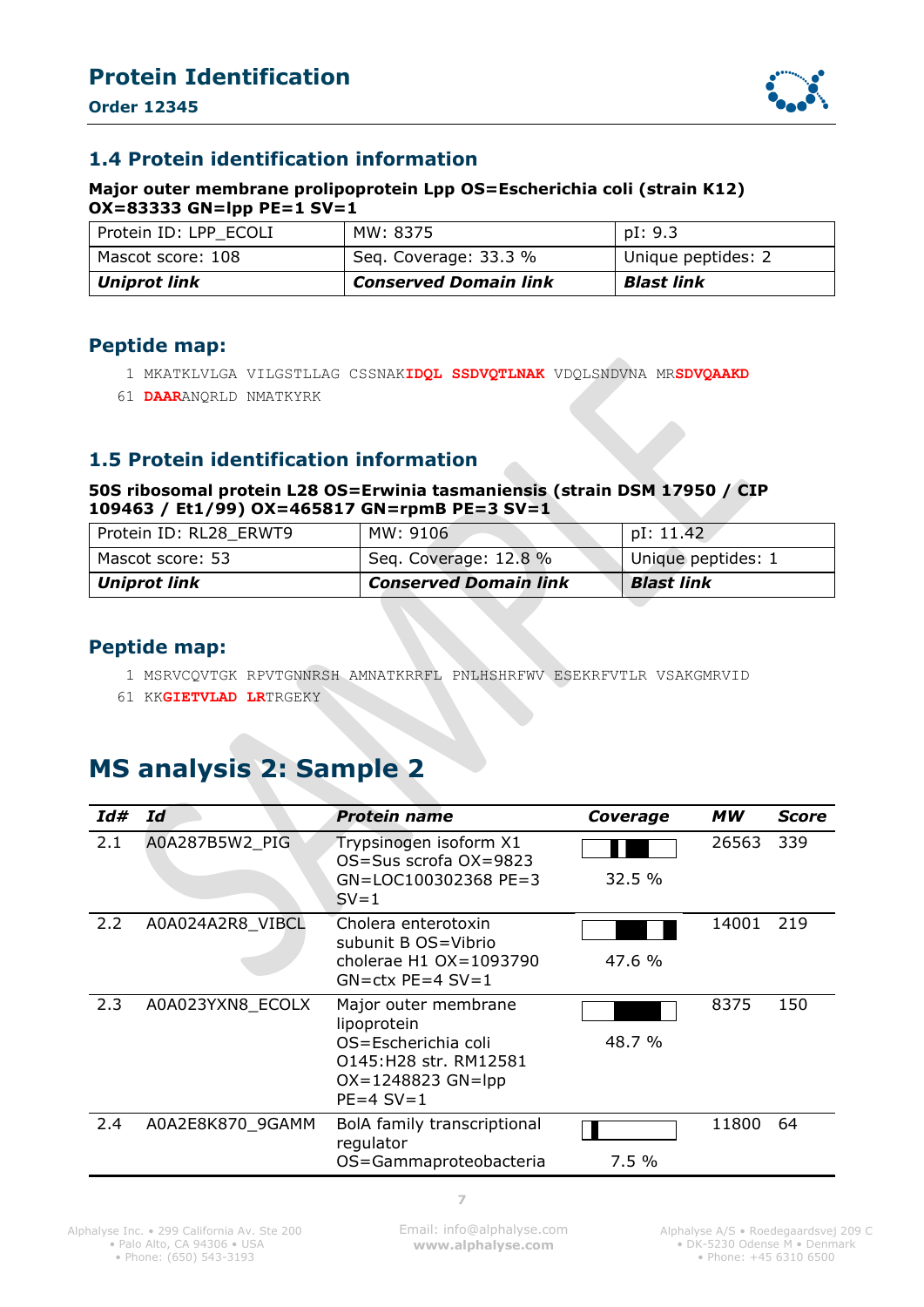**Order 12345**



#### **1.4 Protein identification information**

#### **Major outer membrane prolipoprotein Lpp OS=Escherichia coli (strain K12) OX=83333 GN=lpp PE=1 SV=1**

| Mascot score: 108   | Seq. Coverage: 33.3 %        | Unique peptides: 2 |
|---------------------|------------------------------|--------------------|
| <b>Uniprot link</b> | <b>Conserved Domain link</b> | <b>Blast link</b>  |

#### **Peptide map:**

- 1 MKATKLVLGA VILGSTLLAG CSSNAK**IDQL SSDVQTLNAK** VDQLSNDVNA MR**SDVQAAKD**
- 61 **DAAR**ANQRLD NMATKYRK

#### **1.5 Protein identification information**

#### **50S ribosomal protein L28 OS=Erwinia tasmaniensis (strain DSM 17950 / CIP 109463 / Et1/99) OX=465817 GN=rpmB PE=3 SV=1**

| Protein ID: RL28 ERWT9 | MW: 9106                     | pI: 11.42          |
|------------------------|------------------------------|--------------------|
| Mascot score: 53       | Seq. Coverage: 12.8 %        | Unique peptides: 1 |
| Uniprot link           | <b>Conserved Domain link</b> | <b>Blast link</b>  |

#### **Peptide map:**

- 1 MSRVCQVTGK RPVTGNNRSH AMNATKRRFL PNLHSHRFWV ESEKRFVTLR VSAKGMRVID
- 61 KK**GIETVLAD LR**TRGEKY

## <span id="page-6-0"></span>**MS analysis 2: Sample 2**

| Id# | Ιd               | <b>Protein name</b>                                                                                                           | Coverage | МW    | Score |
|-----|------------------|-------------------------------------------------------------------------------------------------------------------------------|----------|-------|-------|
| 2.1 | A0A287B5W2 PIG   | Trypsinogen isoform X1<br>$OS = Sus$ scrofa $OX = 9823$<br>GN=LOC100302368 PE=3<br>$SV = 1$                                   | 32.5 %   | 26563 | 339   |
| 2.2 | A0A024A2R8 VIBCL | Cholera enterotoxin<br>subunit B OS=Vibrio<br>cholerae $H1$ OX=1093790<br>$GN = ctx$ PE=4 SV=1                                | 47.6 %   | 14001 | 219   |
| 2.3 | A0A023YXN8_ECOLX | Major outer membrane<br>lipoprotein<br>OS=Escherichia coli<br>0145:H28 str. RM12581<br>$OX = 1248823$ GN=lpp<br>$PE=4$ SV = 1 | 48.7 %   | 8375  | 150   |
| 2.4 | A0A2E8K870 9GAMM | BolA family transcriptional<br>regulator<br>OS=Gammaproteobacteria                                                            | 7.5%     | 11800 | 64    |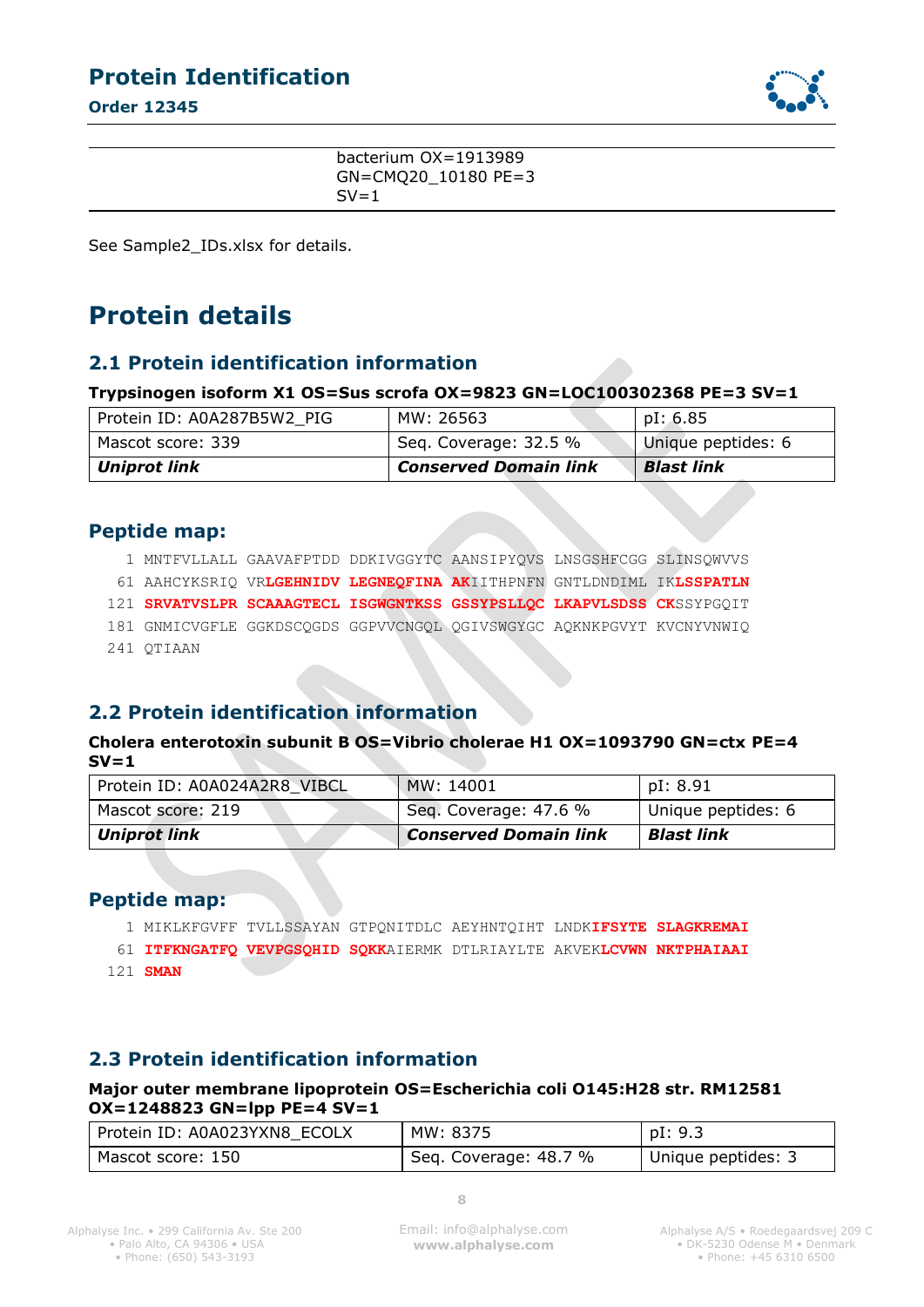**Order 12345**



bacterium OX=1913989 GN=CMQ20\_10180 PE=3  $SV=1$ 

See Sample2\_IDs.xlsx for details.

## **Protein details**

#### **2.1 Protein identification information**

#### **Trypsinogen isoform X1 OS=Sus scrofa OX=9823 GN=LOC100302368 PE=3 SV=1**

| Protein ID: A0A287B5W2 PIG | MW: 26563                    | pI: 6.85           |
|----------------------------|------------------------------|--------------------|
| Mascot score: 339          | Seq. Coverage: 32.5 %        | Unique peptides: 6 |
| Uniprot link               | <b>Conserved Domain link</b> | <b>Blast link</b>  |

#### **Peptide map:**

|  |            | 1 MNTFVLLALL GAAVAFPTDD DDKIVGGYTC AANSIPYQVS LNSGSHFCGG SLINSQWVVS   |  |  |
|--|------------|-----------------------------------------------------------------------|--|--|
|  |            | 61 AAHCYKSRIQ VRLGEHNIDV LEGNEQFINA AKIITHPNFN GNTLDNDIML IKLSSPATLN  |  |  |
|  |            | 121 SRVATVSLPR SCAAAGTECL ISGWGNTKSS GSSYPSLLQC LKAPVLSDSS CKSSYPGQIT |  |  |
|  |            | 181 GNMICVGFLE GGKDSCOGDS GGPVVCNGOL OGIVSWGYGC AQKNKPGVYT KVCNYVNWIQ |  |  |
|  | 241 OTIAAN |                                                                       |  |  |

### **2.2 Protein identification information**

#### **Cholera enterotoxin subunit B OS=Vibrio cholerae H1 OX=1093790 GN=ctx PE=4 SV=1**

| Protein ID: A0A024A2R8 VIBCL | MW: 14001                    | pI: 8.91           |
|------------------------------|------------------------------|--------------------|
| Mascot score: 219            | Seg. Coverage: 47.6 %        | Unique peptides: 6 |
| <b>Uniprot link</b>          | <b>Conserved Domain link</b> | <b>Blast link</b>  |

#### **Peptide map:**

1 MIKLKFGVFF TVLLSSAYAN GTPQNITDLC AEYHNTQIHT LNDK**IFSYTE SLAGKREMAI**

61 **ITFKNGATFQ VEVPGSQHID SQKK**AIERMK DTLRIAYLTE AKVEK**LCVWN NKTPHAIAAI**

121 **SMAN**

#### **2.3 Protein identification information**

#### **Major outer membrane lipoprotein OS=Escherichia coli O145:H28 str. RM12581 OX=1248823 GN=lpp PE=4 SV=1**

| Protein ID: A0A023YXN8 ECOLX | MW: 8375              | pI: 9.3            |
|------------------------------|-----------------------|--------------------|
| Mascot score: 150            | Seq. Coverage: 48.7 % | Unique peptides: 3 |